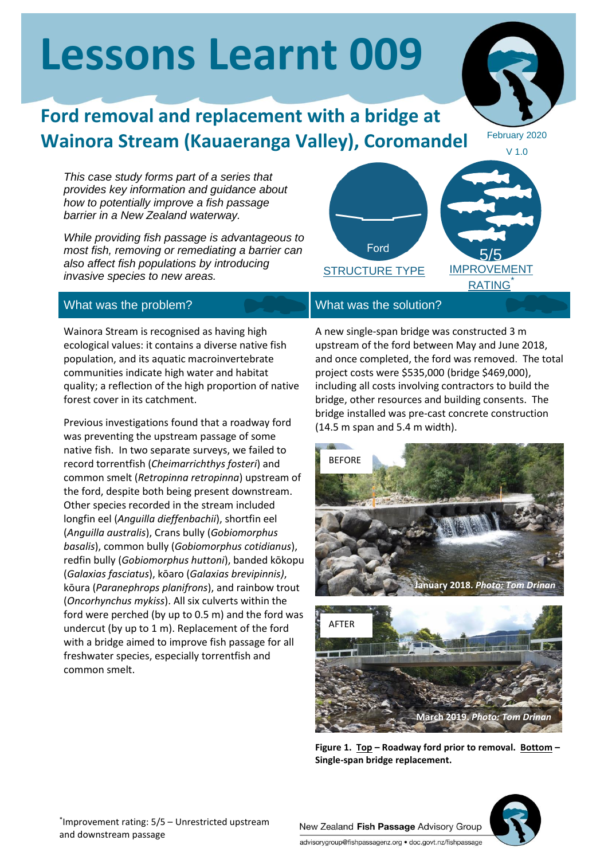# **Lessons Learnt 009**

## **Ford removal and replacement with a bridge at Wainora Stream (Kauaeranga Valley), Coromandel**

February 2020

*This case study forms part of a series that provides key information and guidance about how to potentially improve a fish passage barrier in a New Zealand waterway.*

*While providing fish passage is advantageous to most fish, removing or remediating a barrier can also affect fish populations by introducing invasive species to new areas.*

### What was the problem? What was the solution?

Wainora Stream is recognised as having high ecological values: it contains a diverse native fish population, and its aquatic macroinvertebrate communities indicate high water and habitat quality; a reflection of the high proportion of native forest cover in its catchment.

Previous investigations found that a roadway ford was preventing the upstream passage of some native fish. In two separate surveys, we failed to record torrentfish (*Cheimarrichthys fosteri*) and common smelt (*Retropinna retropinna*) upstream of the ford, despite both being present downstream. Other species recorded in the stream included longfin eel (*Anguilla dieffenbachii*), shortfin eel (*Anguilla australis*), Crans bully (*Gobiomorphus basalis*), common bully (*Gobiomorphus cotidianus*), redfin bully (*Gobiomorphus huttoni*), banded kōkopu (*Galaxias fasciatus*), kōaro (*Galaxias brevipinnis)*, kōura (*Paranephrops planifrons*), and rainbow trout (*Oncorhynchus mykiss*). All six culverts within the ford were perched (by up to 0.5 m) and the ford was undercut (by up to 1 m). Replacement of the ford with a bridge aimed to improve fish passage for all freshwater species, especially torrentfish and common smelt.



A new single-span bridge was constructed 3 m upstream of the ford between May and June 2018, and once completed, the ford was removed. The total project costs were \$535,000 (bridge \$469,000), including all costs involving contractors to build the bridge, other resources and building consents. The bridge installed was pre-cast concrete construction (14.5 m span and 5.4 m width).



**Figure 1. Top – Roadway ford prior to removal. Bottom – Single-span bridge replacement.**



New Zealand Fish Passage Advisory Group advisorygroup@fishpassagenz.org · doc.govt.nz/fishpassage